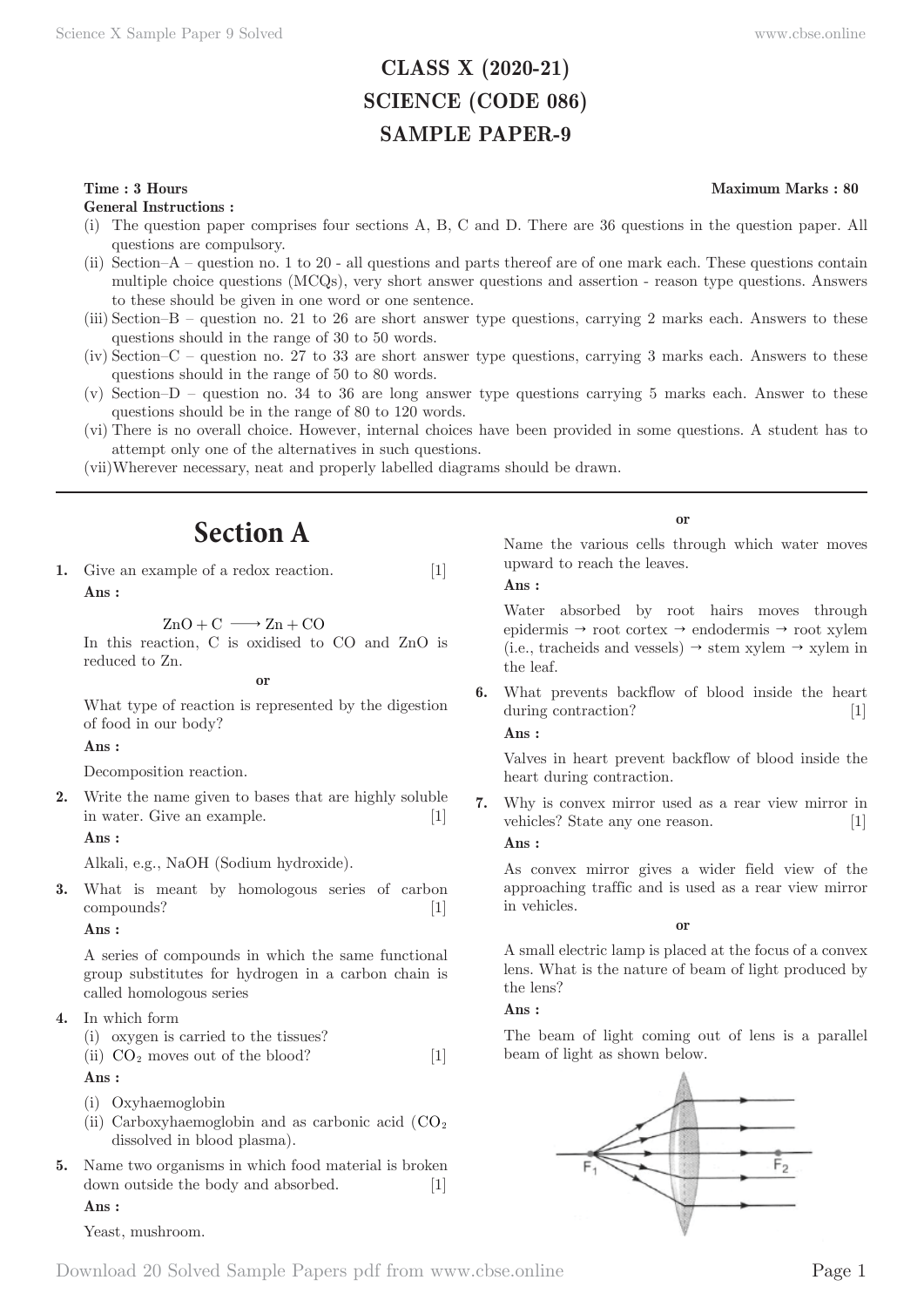# **CLASS X (2020-21) SCIENCE (CODE 086) SAMPLE PAPER-9**

### **Time : 3 Hours** Maximum Marks : 80

**General Instructions :**

- (i) The question paper comprises four sections A, B, C and D. There are 36 questions in the question paper. All questions are compulsory.
- (ii) Section–A question no. 1 to 20 all questions and parts thereof are of one mark each. These questions contain multiple choice questions (MCQs), very short answer questions and assertion - reason type questions. Answers to these should be given in one word or one sentence.
- (iii) Section–B question no. 21 to 26 are short answer type questions, carrying 2 marks each. Answers to these questions should in the range of 30 to 50 words.
- (iv) Section–C question no. 27 to 33 are short answer type questions, carrying 3 marks each. Answers to these questions should in the range of 50 to 80 words.
- (v) Section–D question no. 34 to 36 are long answer type questions carrying 5 marks each. Answer to these questions should be in the range of 80 to 120 words.
- (vi) There is no overall choice. However, internal choices have been provided in some questions. A student has to attempt only one of the alternatives in such questions.

(vii) Wherever necessary, neat and properly labelled diagrams should be drawn.

# **Section A**

**1.** Give an example of a redox reaction. [1] **Ans :** 

 $ZnO + C \longrightarrow Zn + CO$ 

In this reaction, C is oxidised to CO and ZnO is reduced to Zn.

**or**

What type of reaction is represented by the digestion of food in our body?

### **Ans :**

Decomposition reaction.

**2.** Write the name given to bases that are highly soluble in water. Give an example. [1]

### **Ans :**

Alkali, e.g., NaOH (Sodium hydroxide).

**3.** What is meant by homologous series of carbon compounds? [1]

#### **Ans :**

A series of compounds in which the same functional group substitutes for hydrogen in a carbon chain is called homologous series

- **4.** In which form
	- (i) oxygen is carried to the tissues?
	- (ii)  $CO<sub>2</sub>$  moves out of the blood? [1]

# **Ans :**

- (i) Oxyhaemoglobin
- (ii) Carboxyhaemoglobin and as carbonic acid  $(CO<sub>2</sub>)$ dissolved in blood plasma).
- **5.** Name two organisms in which food material is broken down outside the body and absorbed. [1]

### **Ans :**

Yeast, mushroom.

Name the various cells through which water moves upward to reach the leaves.

**Ans :** 

Water absorbed by root hairs moves through epidermis  $\rightarrow$  root cortex  $\rightarrow$  endodermis  $\rightarrow$  root xylem  $(i.e.,$  tracheids and vessels)  $\rightarrow$  stem xylem  $\rightarrow$  xylem in the leaf.

**6.** What prevents backflow of blood inside the heart during contraction? [1]

**Ans :** 

Valves in heart prevent backflow of blood inside the heart during contraction.

**7.** Why is convex mirror used as a rear view mirror in vehicles? State any one reason. [1]

# **Ans :**

As convex mirror gives a wider field view of the approaching traffic and is used as a rear view mirror in vehicles.

**or**

A small electric lamp is placed at the focus of a convex lens. What is the nature of beam of light produced by the lens?

# **Ans :**

The beam of light coming out of lens is a parallel beam of light as shown below.



**or**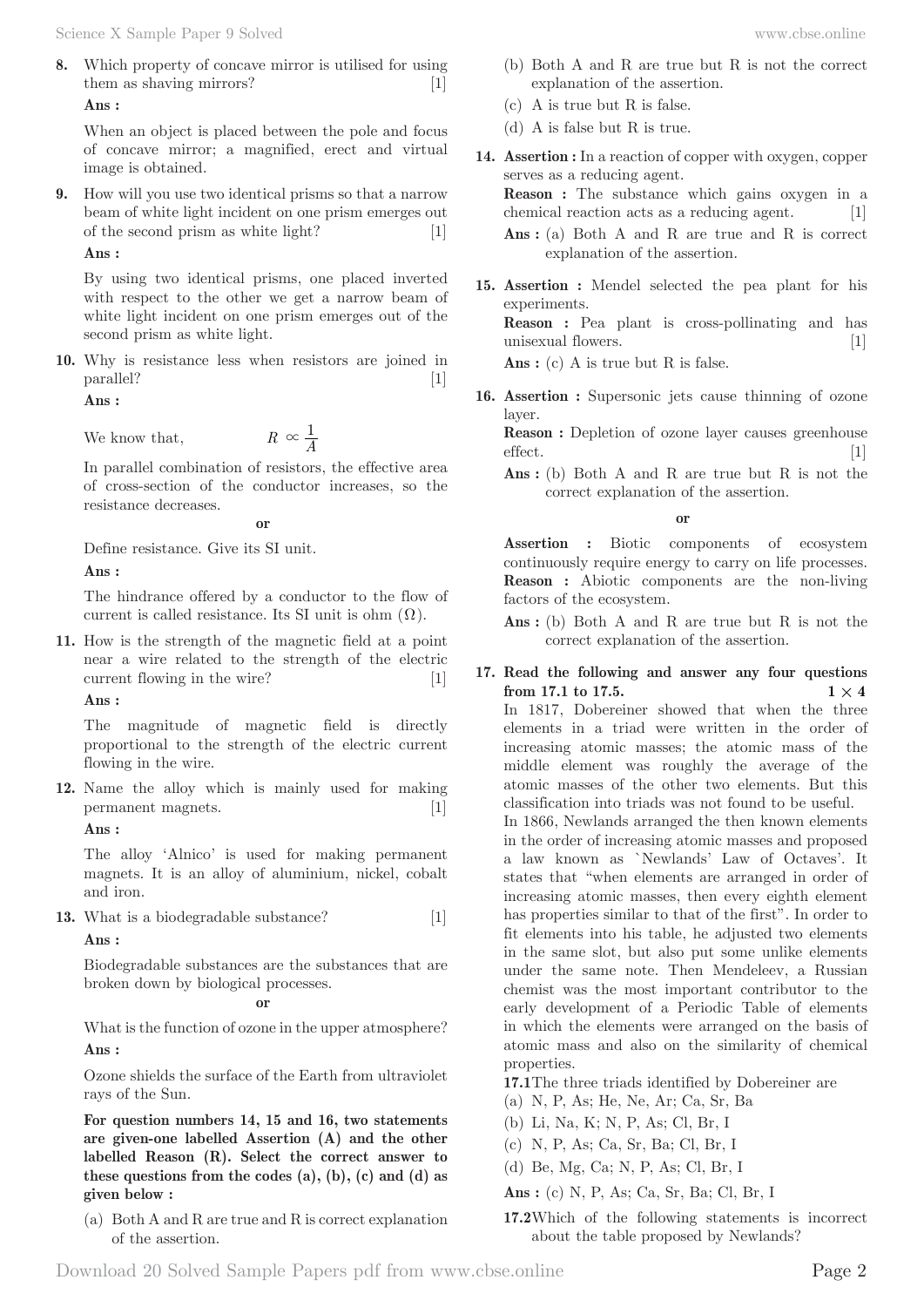**8.** Which property of concave mirror is utilised for using them as shaving mirrors? [1] **Ans :** 

When an object is placed between the pole and focus of concave mirror; a magnified, erect and virtual image is obtained.

**9.** How will you use two identical prisms so that a narrow beam of white light incident on one prism emerges out of the second prism as white light? [1]

## **Ans :**

By using two identical prisms, one placed inverted with respect to the other we get a narrow beam of white light incident on one prism emerges out of the second prism as white light.

**10.** Why is resistance less when resistors are joined in parallel? [1]

**Ans :** 

We know that,  $R \propto \frac{1}{4}$ 

In parallel combination of resistors, the effective area of cross-section of the conductor increases, so the resistance decreases.

**or**

Define resistance. Give its SI unit.

**Ans :** 

The hindrance offered by a conductor to the flow of current is called resistance. Its SI unit is ohm  $(\Omega)$ .

**11.** How is the strength of the magnetic field at a point near a wire related to the strength of the electric current flowing in the wire? [1]

**Ans :** 

The magnitude of magnetic field is directly proportional to the strength of the electric current flowing in the wire.

**12.** Name the alloy which is mainly used for making permanent magnets. [1]

**Ans :** 

The alloy 'Alnico' is used for making permanent magnets. It is an alloy of aluminium, nickel, cobalt and iron.

**13.** What is a biodegradable substance? [1] **Ans :** 

Biodegradable substances are the substances that are broken down by biological processes.

**or**

What is the function of ozone in the upper atmosphere? **Ans :** 

Ozone shields the surface of the Earth from ultraviolet rays of the Sun.

**For question numbers 14, 15 and 16, two statements are given-one labelled Assertion (A) and the other labelled Reason (R). Select the correct answer to these questions from the codes (a), (b), (c) and (d) as given below :**

(a) Both A and R are true and R is correct explanation of the assertion.

- (b) Both A and R are true but R is not the correct explanation of the assertion.
- (c) A is true but R is false.
- (d) A is false but R is true.
- **14. Assertion :** In a reaction of copper with oxygen, copper serves as a reducing agent. **Reason :** The substance which gains oxygen in a chemical reaction acts as a reducing agent. [1] Ans : (a) Both A and R are true and R is correct explanation of the assertion.
- **15. Assertion :** Mendel selected the pea plant for his experiments. **Reason :** Pea plant is cross-pollinating and has

unisexual flowers. [1]

Ans : (c) A is true but R is false.

**16. Assertion :** Supersonic jets cause thinning of ozone layer.

**Reason :** Depletion of ozone layer causes greenhouse effect. [1]

Ans : (b) Both A and R are true but R is not the correct explanation of the assertion.

**or**

**Assertion :** Biotic components of ecosystem continuously require energy to carry on life processes. **Reason :** Abiotic components are the non-living factors of the ecosystem.

- Ans : (b) Both A and R are true but R is not the correct explanation of the assertion.
- **17. Read the following and answer any four questions from 17.1 to 17.5. 1**  $\times$  **4**

In 1817, Dobereiner showed that when the three elements in a triad were written in the order of increasing atomic masses; the atomic mass of the middle element was roughly the average of the atomic masses of the other two elements. But this classification into triads was not found to be useful.

In 1866, Newlands arranged the then known elements in the order of increasing atomic masses and proposed a law known as `Newlands' Law of Octaves'. It states that "when elements are arranged in order of increasing atomic masses, then every eighth element has properties similar to that of the first". In order to fit elements into his table, he adjusted two elements in the same slot, but also put some unlike elements under the same note. Then Mendeleev, a Russian chemist was the most important contributor to the early development of a Periodic Table of elements in which the elements were arranged on the basis of atomic mass and also on the similarity of chemical properties.

**17.1** The three triads identified by Dobereiner are

- (a) N, P, As; He, Ne, Ar; Ca, Sr, Ba
- (b) Li, Na, K; N, P, As; Cl, Br, I
- (c) N, P, As; Ca, Sr, Ba; Cl, Br, I
- (d) Be, Mg, Ca; N, P, As; Cl, Br, I
- **Ans :** (c) N, P, As; Ca, Sr, Ba; Cl, Br, I
- **17.2** Which of the following statements is incorrect about the table proposed by Newlands?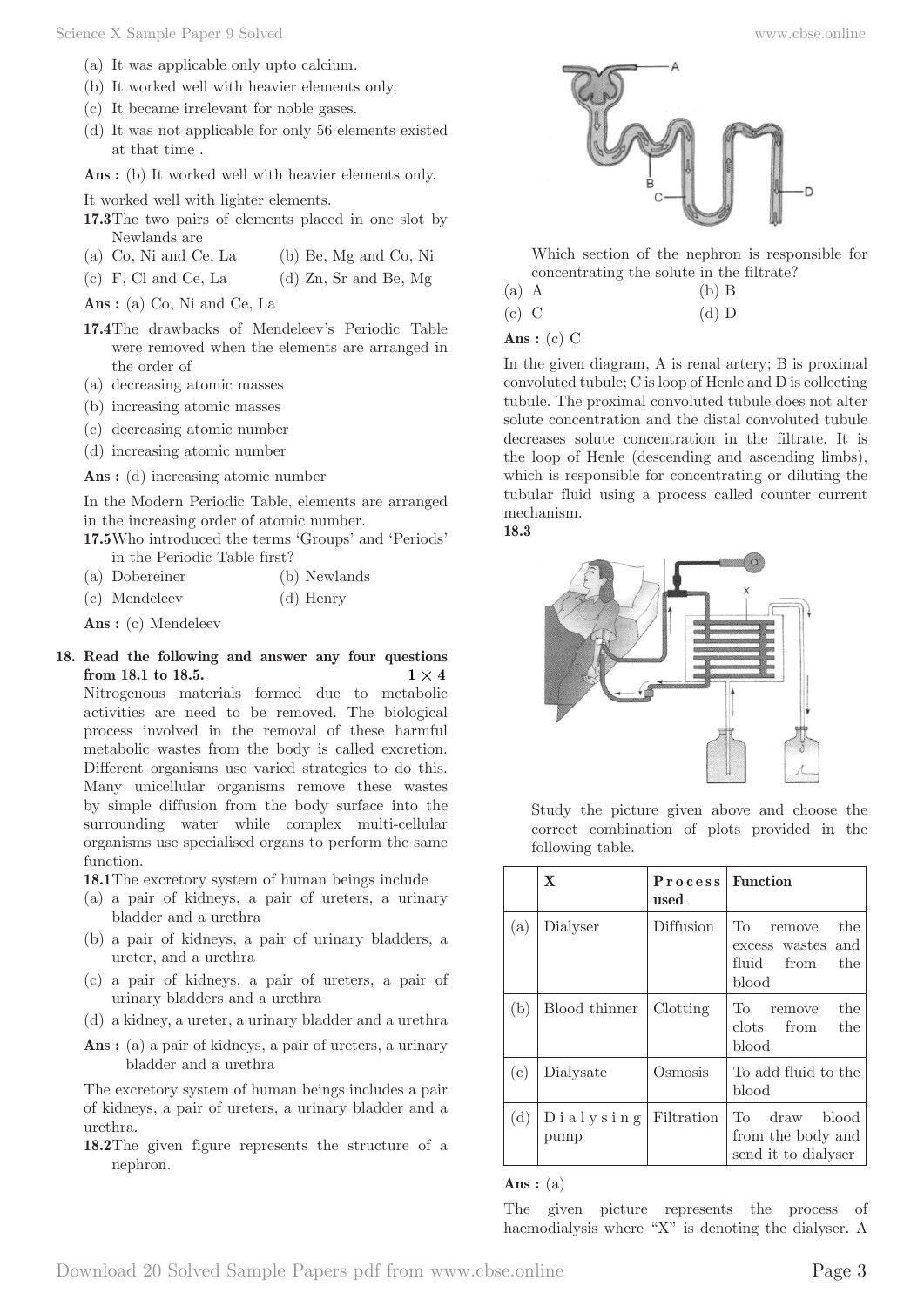- (a) It was applicable only upto calcium.
- (b) It worked well with heavier elements only.
- (c) It became irrelevant for noble gases.
- (d) It was not applicable for only 56 elements existed at that time .

Ans : (b) It worked well with heavier elements only.

It worked well with lighter elements.

- **17.3** The two pairs of elements placed in one slot by Newlands are
- (a) Co, Ni and Ce, La (b) Be, Mg and Co, Ni
- (c) F, Cl and Ce, La  $\qquad$  (d) Zn, Sr and Be, Mg

**Ans :** (a) Co, Ni and Ce, La

- **17.4** The drawbacks of Mendeleev's Periodic Table were removed when the elements are arranged in the order of
- (a) decreasing atomic masses
- (b) increasing atomic masses
- (c) decreasing atomic number
- (d) increasing atomic number

Ans : (d) increasing atomic number

In the Modern Periodic Table, elements are arranged in the increasing order of atomic number.

**17.5** Who introduced the terms 'Groups' and 'Periods' in the Periodic Table first?

| (a) Dobereiner |  | (b) Newlands |
|----------------|--|--------------|
|----------------|--|--------------|

(c) Mendeleev (d) Henry

**Ans :** (c) Mendeleev

**18. Read the following and answer any four questions from 18.1 to 18.5. 1**  $\times$  **4** 

Nitrogenous materials formed due to metabolic activities are need to be removed. The biological process involved in the removal of these harmful metabolic wastes from the body is called excretion. Different organisms use varied strategies to do this. Many unicellular organisms remove these wastes by simple diffusion from the body surface into the surrounding water while complex multi-cellular organisms use specialised organs to perform the same function.

**18.1** The excretory system of human beings include

- (a) a pair of kidneys, a pair of ureters, a urinary bladder and a urethra
- (b) a pair of kidneys, a pair of urinary bladders, a ureter, and a urethra
- (c) a pair of kidneys, a pair of ureters, a pair of urinary bladders and a urethra
- (d) a kidney, a ureter, a urinary bladder and a urethra
- Ans : (a) a pair of kidneys, a pair of ureters, a urinary bladder and a urethra

The excretory system of human beings includes a pair of kidneys, a pair of ureters, a urinary bladder and a urethra.

**18.2** The given figure represents the structure of a nephron.



 Which section of the nephron is responsible for concentrating the solute in the filtrate?

- (a) A (b) B
- (c) C (d) D

# **Ans :** (c) C

In the given diagram, A is renal artery; B is proximal convoluted tubule; C is loop of Henle and D is collecting tubule. The proximal convoluted tubule does not alter solute concentration and the distal convoluted tubule decreases solute concentration in the filtrate. It is the loop of Henle (descending and ascending limbs), which is responsible for concentrating or diluting the tubular fluid using a process called counter current mechanism.





 Study the picture given above and choose the correct combination of plots provided in the following table.

|     | $\mathbf{X}$      | Process   Function<br>used |                                                                        |
|-----|-------------------|----------------------------|------------------------------------------------------------------------|
| (a) | Dialyser          | Diffusion                  | To<br>the<br>remove<br>excess wastes and<br>fluid<br>from the<br>blood |
| (b) | Blood thinner     | Clotting                   | the<br>To<br>remove<br>clots from<br>the<br>blood                      |
| (c) | Dialysate         | Osmosis                    | To add fluid to the<br>blood                                           |
| (d) | Dialysing<br>pump | <b>Filtration</b>          | draw blood<br>To<br>from the body and<br>send it to dialyser           |

## **Ans :** (a)

The given picture represents the process of haemodialysis where "X" is denoting the dialyser. A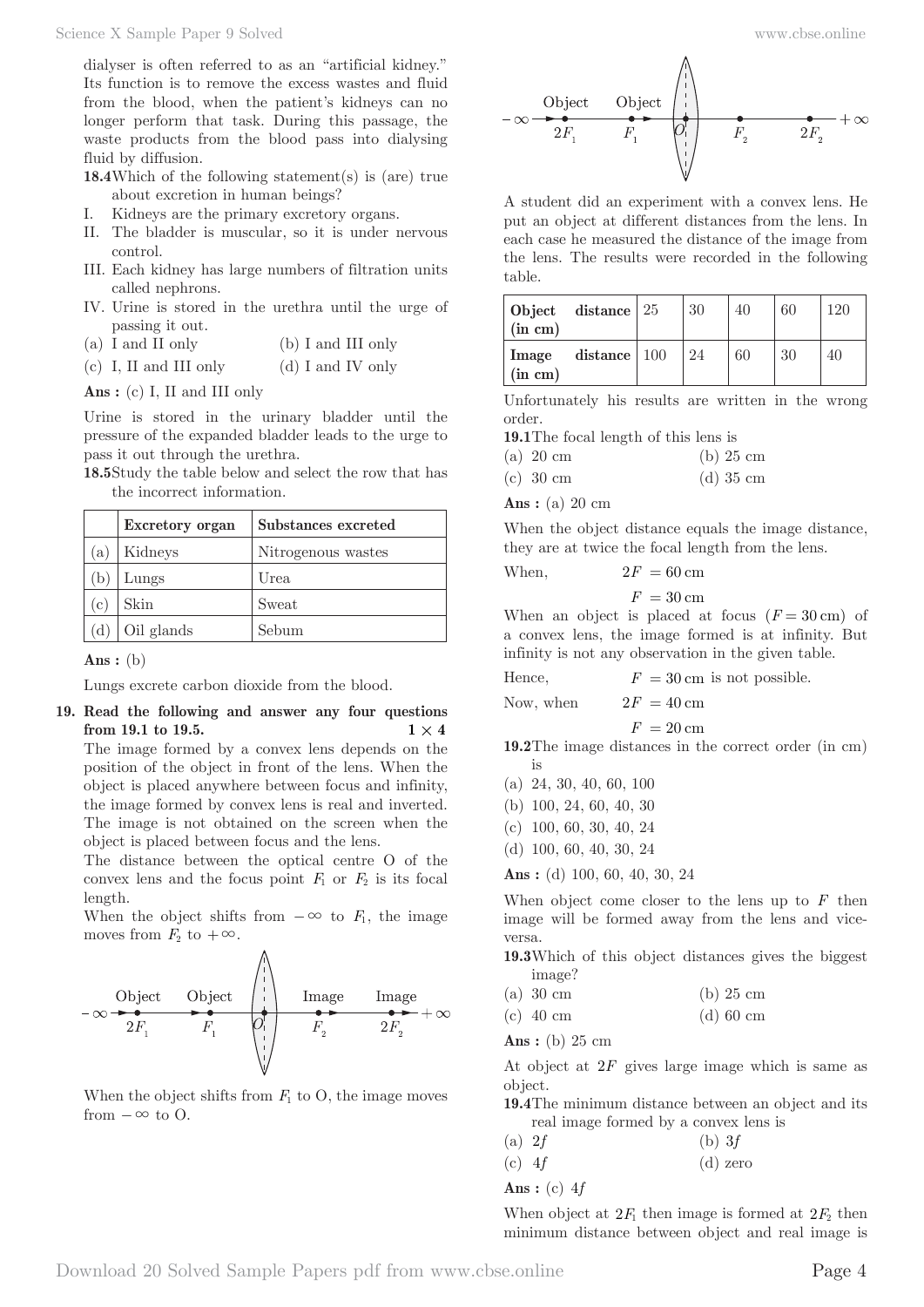dialyser is often referred to as an "artificial kidney." Its function is to remove the excess wastes and fluid from the blood, when the patient's kidneys can no longer perform that task. During this passage, the waste products from the blood pass into dialysing fluid by diffusion.

- **18.4** Which of the following statement(s) is (are) true about excretion in human beings?
- I. Kidneys are the primary excretory organs.
- II. The bladder is muscular, so it is under nervous control.
- III. Each kidney has large numbers of filtration units called nephrons.
- IV. Urine is stored in the urethra until the urge of passing it out.
- (a) I and II only (b) I and III only
- (c) I, II and III only (d) I and IV only

**Ans :** (c) I, II and III only

Urine is stored in the urinary bladder until the pressure of the expanded bladder leads to the urge to pass it out through the urethra.

**18.5** Study the table below and select the row that has the incorrect information.

|     | Excretory organ | Substances excreted |
|-----|-----------------|---------------------|
| (a) | Kidneys         | Nitrogenous wastes  |
| (b) | Lungs           | Urea                |
| (c) | Skin            | Sweat               |
|     | Oil glands      | Sebum               |

**Ans :** (b)

Lungs excrete carbon dioxide from the blood.

**19. Read the following and answer any four questions from 19.1 to 19.5. 1**  $\times$  **4** 

The image formed by a convex lens depends on the position of the object in front of the lens. When the object is placed anywhere between focus and infinity, the image formed by convex lens is real and inverted. The image is not obtained on the screen when the object is placed between focus and the lens.

The distance between the optical centre O of the convex lens and the focus point  $F_1$  or  $F_2$  is its focal length.

When the object shifts from  $-\infty$  to  $F_1$ , the image moves from  $F_2$  to  $+\infty$ .



When the object shifts from  $F_1$  to O, the image moves from  $-\infty$  to O.



A student did an experiment with a convex lens. He put an object at different distances from the lens. In each case he measured the distance of the image from the lens. The results were recorded in the following table.

| (in cm)          | Object distance 25 | 30 | 40 | 60 | 120 |
|------------------|--------------------|----|----|----|-----|
| Image<br>(in cm) | distance $ 100$    | 24 | 60 | 30 | 40  |

Unfortunately his results are written in the wrong order.

**19.1** The focal length of this lens is  $\binom{6}{2}$  20 cm (b) 25 cm

|  | (a) zo cin | $(D)$ 20 $CIII$ |  |
|--|------------|-----------------|--|
|  |            | (1, 1)          |  |

(c) 30 cm (d) 35 cm

**Ans :** (a) 20 cm

When the object distance equals the image distance, they are at twice the focal length from the lens.

When, 
$$
2F = 60 \text{ cm}
$$

$$
F\,=30\,\mathrm{cm}
$$

When an object is placed at focus  $(F = 30 \text{ cm})$  of a convex lens, the image formed is at infinity. But infinity is not any observation in the given table.

Hence,  $F = 30 \text{ cm}$  is not possible.

Now, when  $2F = 40 \text{ cm}$ 

$$
F\,=20\,\mathrm{cm}
$$

**19.2** The image distances in the correct order (in cm) is

- (a) 24, 30, 40, 60, 100
- (b) 100, 24, 60, 40, 30
- (c) 100, 60, 30, 40, 24
- (d) 100, 60, 40, 30, 24

**Ans :** (d) 100, 60, 40, 30, 24

When object come closer to the lens up to *F* then image will be formed away from the lens and viceversa.

- **19.3** Which of this object distances gives the biggest image?
- (a) 30 cm (b) 25 cm
- (c) 40 cm (d) 60 cm

**Ans :** (b) 25 cm

At object at 2*F* gives large image which is same as object.

**19.4** The minimum distance between an object and its real image formed by a convex lens is

| (a) $2f$   | (b) 3f |
|------------|--------|
| $\sqrt{2}$ |        |

(c)  $4f$  (d) zero

**Ans :** (c) 4*f*

When object at  $2F_1$  then image is formed at  $2F_2$  then minimum distance between object and real image is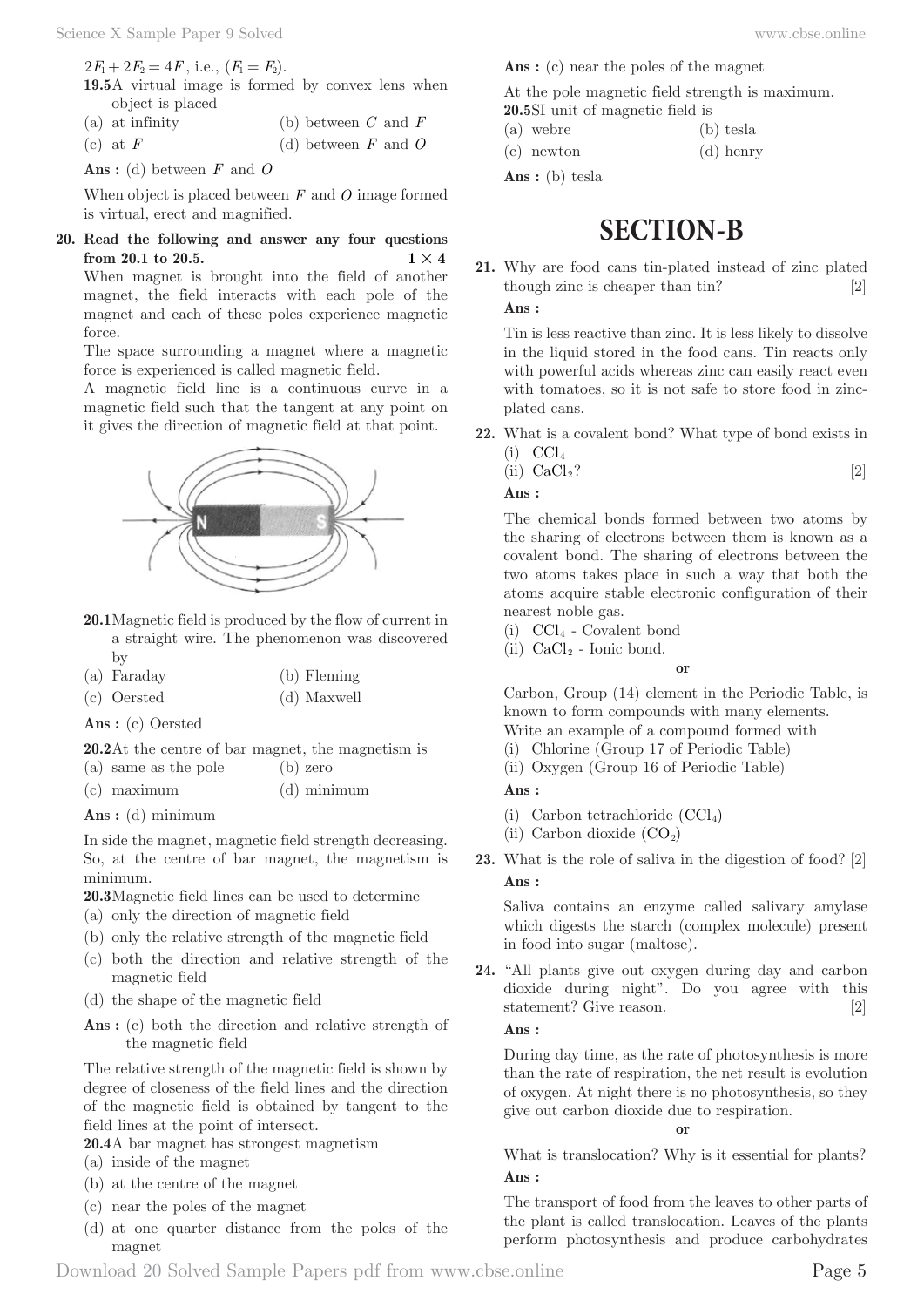$2F_1 + 2F_2 = 4F$ , i.e.,  $(F_1 = F_2)$ .

**19.5** A virtual image is formed by convex lens when object is placed

| $(a)$ at infinity | (b) between $C$ and $F$ |  |  |
|-------------------|-------------------------|--|--|
| (c) at $F$        | (d) between $F$ and $C$ |  |  |

**Ans :** (d) between *F* and *O*

When object is placed between *F* and *O* image formed is virtual, erect and magnified.

**20. Read the following and answer any four questions from 20.1 to 20.5. 1**  $\times$  **4** 

When magnet is brought into the field of another magnet, the field interacts with each pole of the magnet and each of these poles experience magnetic force.

The space surrounding a magnet where a magnetic force is experienced is called magnetic field.

A magnetic field line is a continuous curve in a magnetic field such that the tangent at any point on it gives the direction of magnetic field at that point.



- **20.1** Magnetic field is produced by the flow of current in a straight wire. The phenomenon was discovered by
- (a) Faraday (b) Fleming
- (c) Oersted (d) Maxwell

**Ans :** (c) Oersted

**20.2** At the centre of bar magnet, the magnetism is

- (a) same as the pole (b) zero
- (c) maximum (d) minimum
- **Ans :** (d) minimum

In side the magnet, magnetic field strength decreasing. So, at the centre of bar magnet, the magnetism is minimum.

- **20.3** Magnetic field lines can be used to determine
- (a) only the direction of magnetic field
- (b) only the relative strength of the magnetic field
- (c) both the direction and relative strength of the magnetic field
- (d) the shape of the magnetic field
- Ans : (c) both the direction and relative strength of the magnetic field

The relative strength of the magnetic field is shown by degree of closeness of the field lines and the direction of the magnetic field is obtained by tangent to the field lines at the point of intersect.

- **20.4** A bar magnet has strongest magnetism
- (a) inside of the magnet
- (b) at the centre of the magnet
- (c) near the poles of the magnet
- (d) at one quarter distance from the poles of the magnet

Ans : (c) near the poles of the magnet

At the pole magnetic field strength is maximum.

- 20.5 SI unit of magnetic field is (a) webre (b) tesla
- 
- (c) newton (d) henry

Ans: (b) tesla

# **SECTION-B**

**21.** Why are food cans tin-plated instead of zinc plated though zinc is cheaper than tin? [2]

**Ans :** 

Tin is less reactive than zinc. It is less likely to dissolve in the liquid stored in the food cans. Tin reacts only with powerful acids whereas zinc can easily react even with tomatoes, so it is not safe to store food in zincplated cans.

- **22.** What is a covalent bond? What type of bond exists in  $(i)$  CCl<sub>4</sub>
	- (ii)  $CaCl<sub>2</sub>$ ? [2]

**Ans :** 

The chemical bonds formed between two atoms by the sharing of electrons between them is known as a covalent bond. The sharing of electrons between the two atoms takes place in such a way that both the atoms acquire stable electronic configuration of their nearest noble gas.

- $(i)$  CCl<sub>4</sub> Covalent bond
- (ii)  $CaCl<sub>2</sub>$  Ionic bond.

**or**

Carbon, Group (14) element in the Periodic Table, is known to form compounds with many elements.

- Write an example of a compound formed with (i) Chlorine (Group 17 of Periodic Table)
- (ii) Oxygen (Group 16 of Periodic Table)

**Ans :** 

- (i) Carbon tetrachloride  $(CCl<sub>4</sub>)$
- (ii) Carbon dioxide  $(CO_2)$
- **23.** What is the role of saliva in the digestion of food? [2] **Ans :**

Saliva contains an enzyme called salivary amylase which digests the starch (complex molecule) present in food into sugar (maltose).

**24.** "All plants give out oxygen during day and carbon dioxide during night". Do you agree with this statement? Give reason. [2]

# **Ans :**

During day time, as the rate of photosynthesis is more than the rate of respiration, the net result is evolution of oxygen. At night there is no photosynthesis, so they give out carbon dioxide due to respiration.

**or**

What is translocation? Why is it essential for plants? **Ans :** 

The transport of food from the leaves to other parts of the plant is called translocation. Leaves of the plants perform photosynthesis and produce carbohydrates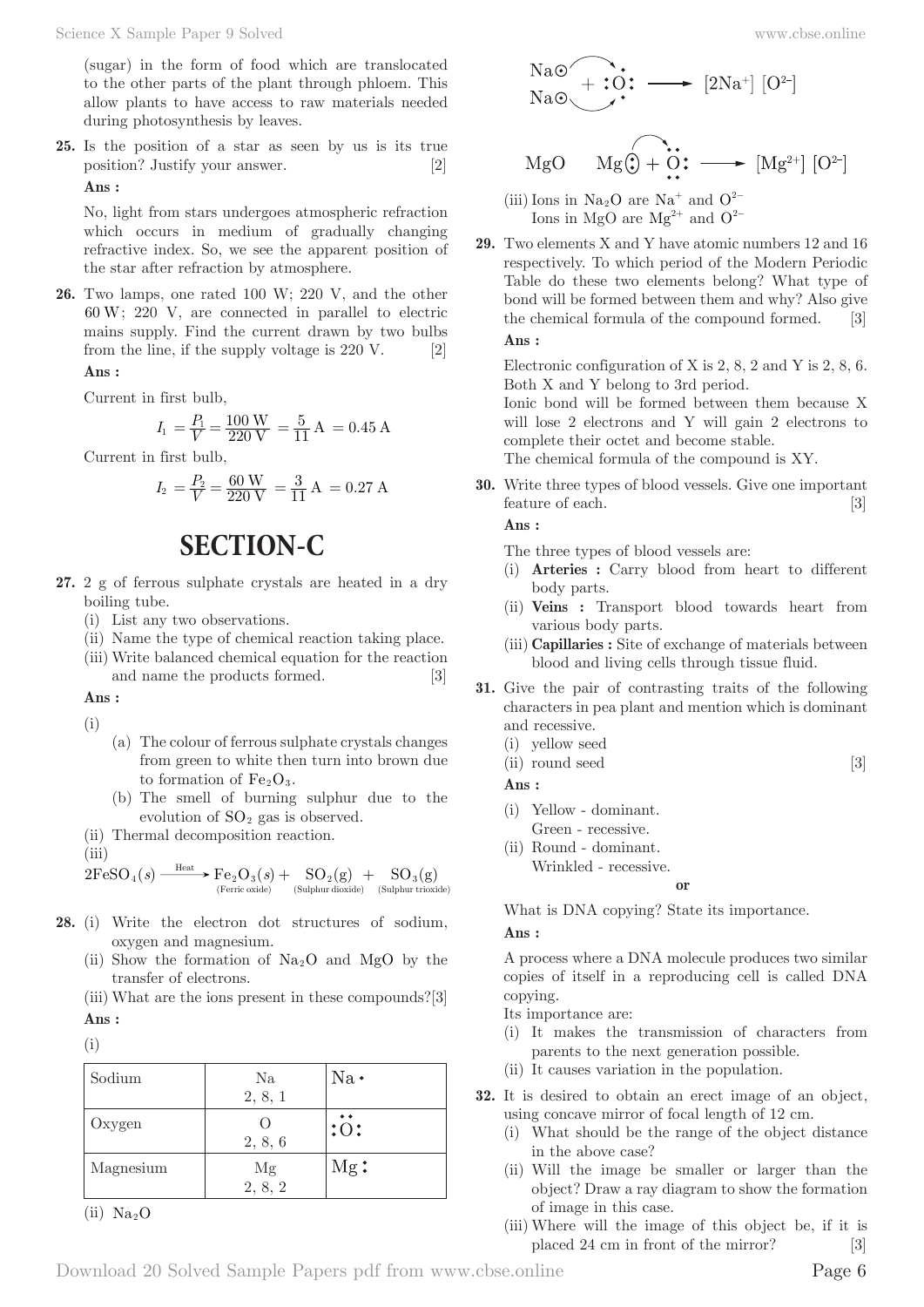(sugar) in the form of food which are translocated to the other parts of the plant through phloem. This allow plants to have access to raw materials needed during photosynthesis by leaves.

**25.** Is the position of a star as seen by us is its true position? Justify your answer. [2] **Ans :** 

No, light from stars undergoes atmospheric refraction which occurs in medium of gradually changing refractive index. So, we see the apparent position of the star after refraction by atmosphere.

**26.** Two lamps, one rated 100 W; 220 V, and the other 60 W; 220 V, are connected in parallel to electric mains supply. Find the current drawn by two bulbs from the line, if the supply voltage is 220 V. [2]

**Ans :** 

Current in first bulb,

$$
I_1 = \frac{P_1}{V} = \frac{100 \text{ W}}{220 \text{ V}} = \frac{5}{11} \text{ A} = 0.45 \text{ A}
$$

Current in first bulb,

$$
I_2 = \frac{P_2}{V} = \frac{60 \text{ W}}{220 \text{ V}} = \frac{3}{11} \text{ A} = 0.27 \text{ A}
$$

# **SECTION-C**

- **27.** 2 g of ferrous sulphate crystals are heated in a dry boiling tube.
	- (i) List any two observations.
	- (ii) Name the type of chemical reaction taking place.
	- (iii) Write balanced chemical equation for the reaction and name the products formed. [3]

**Ans :** 

- (i)
- (a) The colour of ferrous sulphate crystals changes from green to white then turn into brown due to formation of  $Fe<sub>2</sub>O<sub>3</sub>$ .
- (b) The smell of burning sulphur due to the evolution of  $SO<sub>2</sub>$  gas is observed.
- (ii) Thermal decomposition reaction.

(iii)

$$
2\mathrm{FeSO}_4(s) \xrightarrow{\text{Heat}} \mathrm{Fe}_2\mathrm{O}_3(s) + \underset{\text{(Sulphur dioxide)}}{\mathrm{SO}_2(g)} + \underset{\text{(Sulphur dioxide)}}{\mathrm{SO}_3(g)} \mathrm{SO}_3(s)
$$

- **28.** (i) Write the electron dot structures of sodium, oxygen and magnesium.
	- (ii) Show the formation of  $Na<sub>2</sub>O$  and MgO by the transfer of electrons.

(iii) What are the ions present in these compounds?[3] **Ans :** 

(i)

| Sodium    | Na               | $Na$ . |
|-----------|------------------|--------|
|           | 2, 8, 1          |        |
| Oxygen    | $\left( \right)$ | :0:    |
|           | 2, 8, 6          |        |
| Magnesium |                  | $Mg$ : |
|           | $Mg$<br>2, 8, 2  |        |

 $(ii) Na<sub>2</sub>O$ 



$$
MgO \qquad MgO \qquad \cdots \qquad \longrightarrow [Mg^{2+}] [O^{2-}]
$$

- (iii) Ions in Na<sub>2</sub>O are Na<sup>+</sup> and  $Q^{2-}$ Ions in MgO are Mg<sup>2+</sup> and  $O^{2-}$
- **29.** Two elements X and Y have atomic numbers 12 and 16 respectively. To which period of the Modern Periodic Table do these two elements belong? What type of bond will be formed between them and why? Also give the chemical formula of the compound formed. [3] **Ans :**

Electronic configuration of X is 2, 8, 2 and Y is 2, 8, 6. Both X and Y belong to 3rd period.

Ionic bond will be formed between them because X will lose 2 electrons and Y will gain 2 electrons to complete their octet and become stable. The chemical formula of the compound is XY.

**30.** Write three types of blood vessels. Give one important

**Ans :** 

The three types of blood vessels are:

(i) **Arteries :** Carry blood from heart to different body parts.

feature of each. [3]

- (ii) **Veins :** Transport blood towards heart from various body parts.
- (iii) **Capillaries :** Site of exchange of materials between blood and living cells through tissue fluid.
- **31.** Give the pair of contrasting traits of the following characters in pea plant and mention which is dominant and recessive.
	- (i) yellow seed
	- $(ii)$  round seed  $[3]$

**Ans :** 

- (i) Yellow dominant.
- Green recessive.
- (ii) Round dominant. Wrinkled - recessive.

**or**

What is DNA copying? State its importance.

**Ans :** 

A process where a DNA molecule produces two similar copies of itself in a reproducing cell is called DNA copying.

Its importance are:

- (i) It makes the transmission of characters from parents to the next generation possible.
- (ii) It causes variation in the population.
- **32.** It is desired to obtain an erect image of an object, using concave mirror of focal length of 12 cm.
	- (i) What should be the range of the object distance in the above case?
	- (ii) Will the image be smaller or larger than the object? Draw a ray diagram to show the formation of image in this case.
	- (iii) Where will the image of this object be, if it is placed 24 cm in front of the mirror? [3]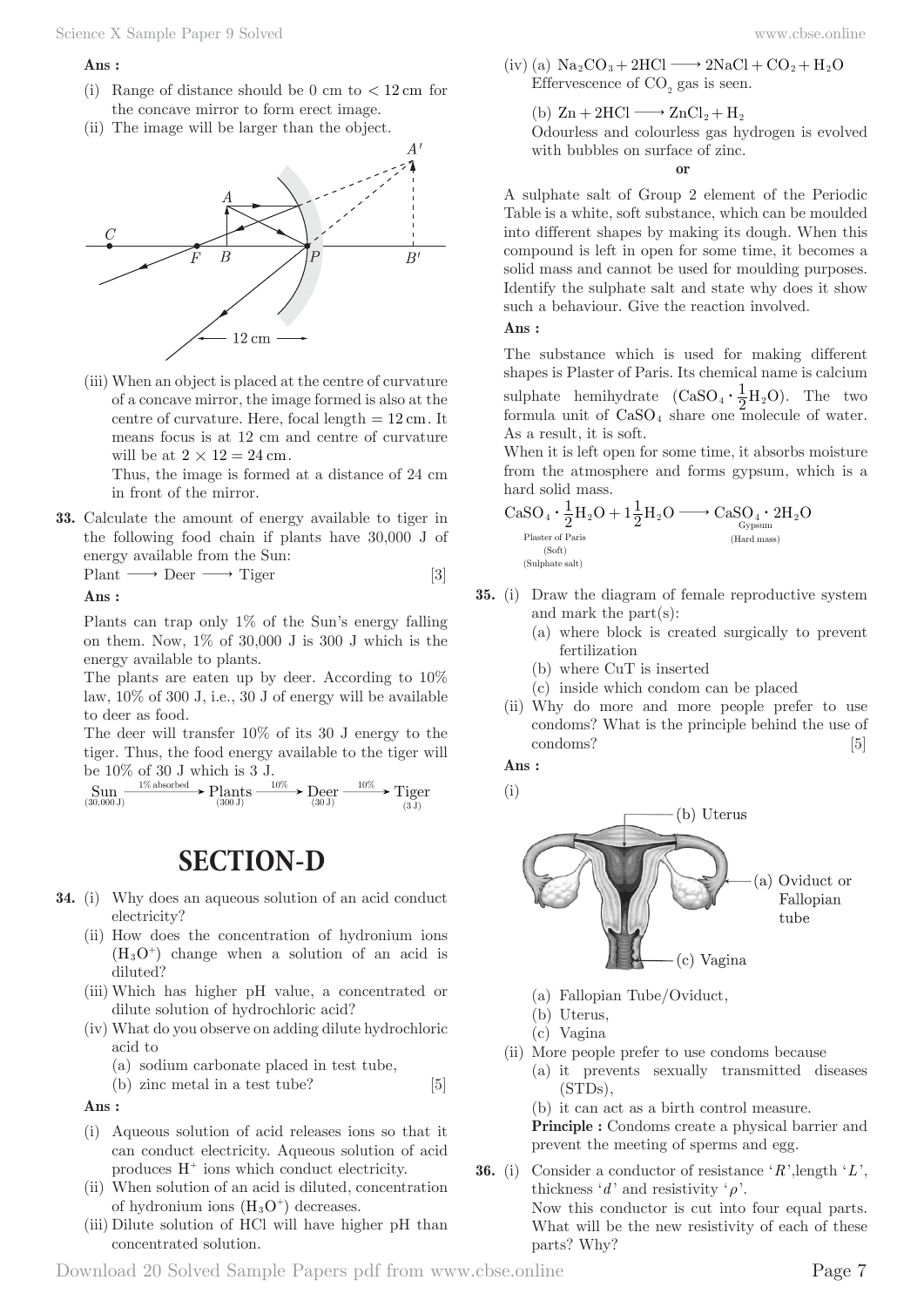#### **Ans :**

- (i) Range of distance should be 0 cm to  $< 12 \text{ cm}$  for the concave mirror to form erect image.
- (ii) The image will be larger than the object.



(iii) When an object is placed at the centre of curvature of a concave mirror, the image formed is also at the centre of curvature. Here, focal length  $= 12$  cm. It means focus is at 12 cm and centre of curvature will be at  $2 \times 12 = 24$  cm.

 Thus, the image is formed at a distance of 24 cm in front of the mirror.

**33.** Calculate the amount of energy available to tiger in the following food chain if plants have 30,000 J of energy available from the Sun:

 $Plant \longrightarrow Deer \longrightarrow Tiger$  [3]

**Ans :** 

Plants can trap only 1% of the Sun's energy falling on them. Now,  $1\%$  of 30,000 J is 300 J which is the energy available to plants.

The plants are eaten up by deer. According to 10% law, 10% of 300 J, i.e., 30 J of energy will be available to deer as food.

The deer will transfer 10% of its 30 J energy to the tiger. Thus, the food energy available to the tiger will be 10% of 30 J which is 3 J.

$$
\underset{\text{(30,000 J)}}{\text{Sum}} \xrightarrow{\text{1\% absorbed}} \text{Plants} \xrightarrow{\text{10\%}} \text{Decr} \xrightarrow{\text{10\%}} \text{Tiger} \xrightarrow{\text{(30,100)}}
$$

# **SECTION-D**

- **34.** (i) Why does an aqueous solution of an acid conduct electricity?
	- (ii) How does the concentration of hydronium ions  $(H<sub>3</sub>O<sup>+</sup>)$  change when a solution of an acid is diluted?
	- (iii) Which has higher pH value, a concentrated or dilute solution of hydrochloric acid?
	- (iv) What do you observe on adding dilute hydrochloric acid to
		- (a) sodium carbonate placed in test tube,

(b) zinc metal in a test tube? [5]

**Ans :** 

- (i) Aqueous solution of acid releases ions so that it can conduct electricity. Aqueous solution of acid produces  $H^+$  ions which conduct electricity.
- (ii) When solution of an acid is diluted, concentration of hydronium ions  $(H_3O^+)$  decreases.
- (iii) Dilute solution of HCl will have higher pH than concentrated solution.

(iv) (a)  $\text{Na}_2\text{CO}_3 + 2\text{HCl} \longrightarrow 2\text{NaCl} + \text{CO}_2 + \text{H}_2\text{O}$ Effervescence of  $CO_2$  gas is seen.

(b)  $\text{Zn} + 2\text{HCl} \longrightarrow \text{ZnCl}_2 + \text{H}_2$ 

 Odourless and colourless gas hydrogen is evolved with bubbles on surface of zinc.

**or**

A sulphate salt of Group 2 element of the Periodic Table is a white, soft substance, which can be moulded into different shapes by making its dough. When this compound is left in open for some time, it becomes a solid mass and cannot be used for moulding purposes. Identify the sulphate salt and state why does it show such a behaviour. Give the reaction involved.

### **Ans :**

The substance which is used for making different shapes is Plaster of Paris. Its chemical name is calcium sulphate hemihydrate  $(CaSO_4 \cdot \frac{1}{2}H_2O)$ . The two formula unit of  $CaSO<sub>4</sub>$  share one molecule of water. As a result, it is soft.

When it is left open for some time, it absorbs moisture from the atmosphere and forms gypsum, which is a hard solid mass.

$$
\begin{array}{l} \mathrm{CaSO}_4\cdot \frac{1}{2} H_2O + 1 \frac{1}{2} H_2O \longrightarrow \mathrm{CaSO}_4\cdot 2 H_2O \\ \xrightarrow{\scriptscriptstyle \mathrm{Plaster of \, Paris}} \\ \xrightarrow{\scriptscriptstyle (\mathrm{Soft})} \\ \xrightarrow{\scriptscriptstyle (\mathrm{Sort})} \\ \xrightarrow{\scriptscriptstyle (\mathrm{Suf) \, later \, mass}} \xrightarrow{\scriptscriptstyle (\mathrm{Hard \, mass})} \end{array}
$$

- **35.** (i) Draw the diagram of female reproductive system and mark the part(s):
	- (a) where block is created surgically to prevent fertilization
	- (b) where CuT is inserted
	- (c) inside which condom can be placed
	- (ii) Why do more and more people prefer to use condoms? What is the principle behind the use of condoms? [5]

**Ans :** 



- (a) Fallopian Tube/Oviduct,
- (b) Uterus,
- (c) Vagina
- (ii) More people prefer to use condoms because
	- (a) it prevents sexually transmitted diseases (STDs),

(b) it can act as a birth control measure.

**Principle :** Condoms create a physical barrier and prevent the meeting of sperms and egg.

**36.** (i) Consider a conductor of resistance '*R*',length '*L*', thickness '*d*' and resistivity '*ρ*'. Now this conductor is cut into four equal parts. What will be the new resistivity of each of these parts? Why?